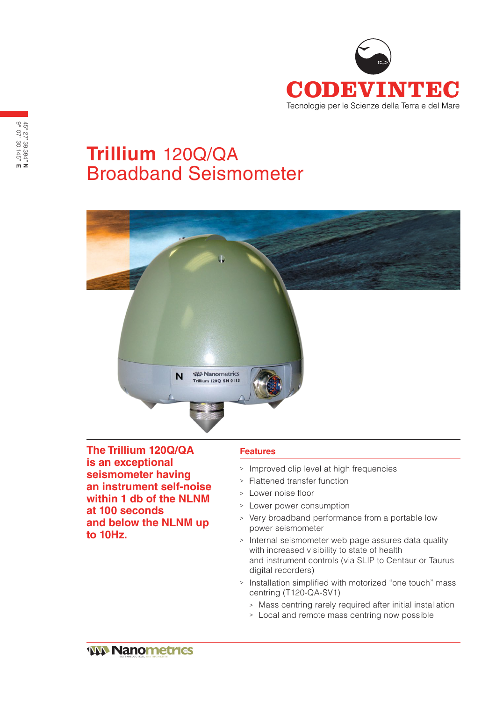

# **Trillium** 120Q/QA Broadband Seismometer



**The Trillium 120Q/QA is an exceptional seismometer having an instrument self-noise within 1 db of the NLNM at 100 seconds and below the NLNM up to 10Hz.**

### **Features**

- <sup>&</sup>gt; Improved clip level at high frequencies
- <sup>&</sup>gt; Flattened transfer function
- <sup>&</sup>gt; Lower noise floor
- <sup>&</sup>gt; Lower power consumption
- <sup>&</sup>gt; Very broadband performance from a portable low power seismometer
- <sup>&</sup>gt; Internal seismometer web page assures data quality with increased visibility to state of health and instrument controls (via SLIP to Centaur or Taurus digital recorders)
- <sup>&</sup>gt; Installation simplified with motorized "one touch" mass centring (T120-QA-SV1)
	- <sup>&</sup>gt; Mass centring rarely required after initial installation
	- <sup>&</sup>gt; Local and remote mass centring now possible